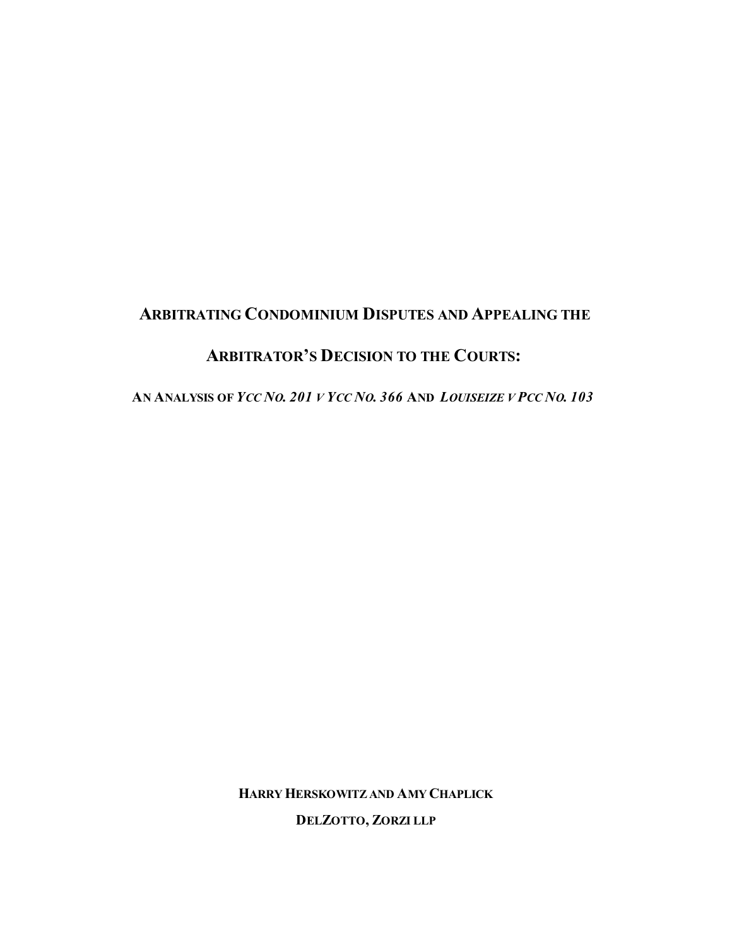# **ARBITRATING CONDOMINIUM DISPUTES AND APPEALING THE**

## **ARBITRATOR'S DECISION TO THE COURTS:**

AN ANALYSIS OF YCC NO. 201 V YCC NO. 366 AND LOUISEIZE V PCC NO. 103

**HARRYHERSKOWITZ AND AMY CHAPLICK**

**DELZOTTO, ZORZI LLP**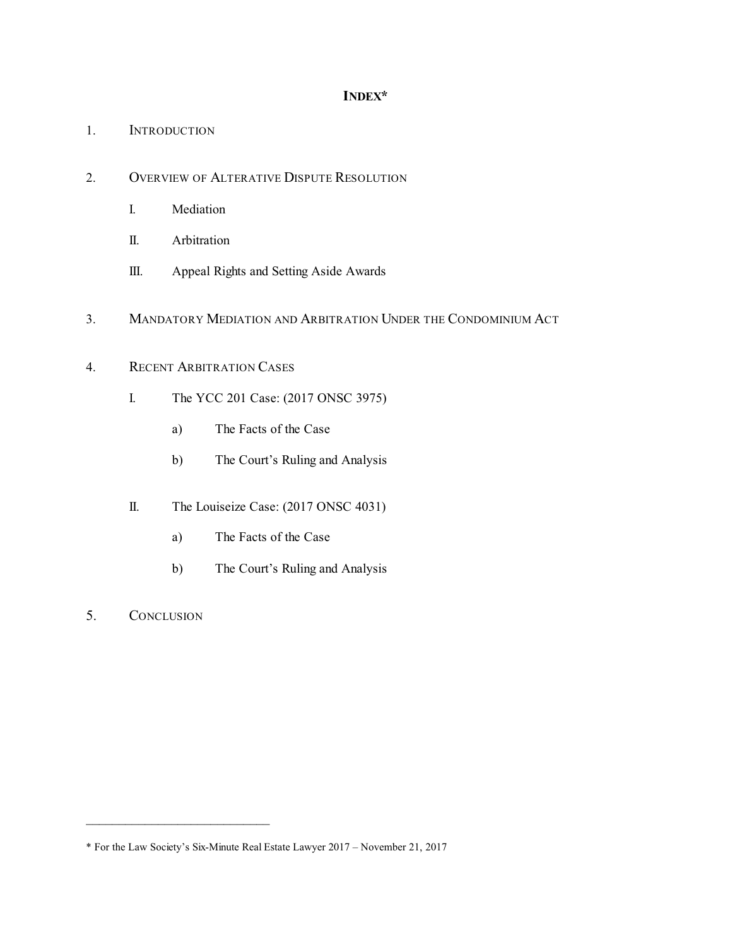### **INDEX\***

- 1. INTRODUCTION
- 2. OVERVIEW OF ALTERATIVE DISPUTE RESOLUTION
	- I. Mediation
	- II. Arbitration
	- III. Appeal Rights and Setting Aside Awards
- 3. MANDATORY MEDIATION AND ARBITRATION UNDER THE CONDOMINIUM ACT

### 4. RECENT ARBITRATION CASES

- I. The YCC 201 Case: (2017 ONSC 3975)
	- a) The Facts of the Case
	- b) The Court's Ruling and Analysis
- II. The Louiseize Case: (2017 ONSC 4031)
	- a) The Facts of the Case
	- b) The Court's Ruling and Analysis
- 5. CONCLUSION

 $\frac{1}{2}$  ,  $\frac{1}{2}$  ,  $\frac{1}{2}$  ,  $\frac{1}{2}$  ,  $\frac{1}{2}$  ,  $\frac{1}{2}$  ,  $\frac{1}{2}$  ,  $\frac{1}{2}$  ,  $\frac{1}{2}$  ,  $\frac{1}{2}$  ,  $\frac{1}{2}$  ,  $\frac{1}{2}$  ,  $\frac{1}{2}$  ,  $\frac{1}{2}$  ,  $\frac{1}{2}$  ,  $\frac{1}{2}$  ,  $\frac{1}{2}$  ,  $\frac{1}{2}$  ,  $\frac{1$ 

<sup>\*</sup> For the Law Society's Six-Minute Real Estate Lawyer 2017 – November 21, 2017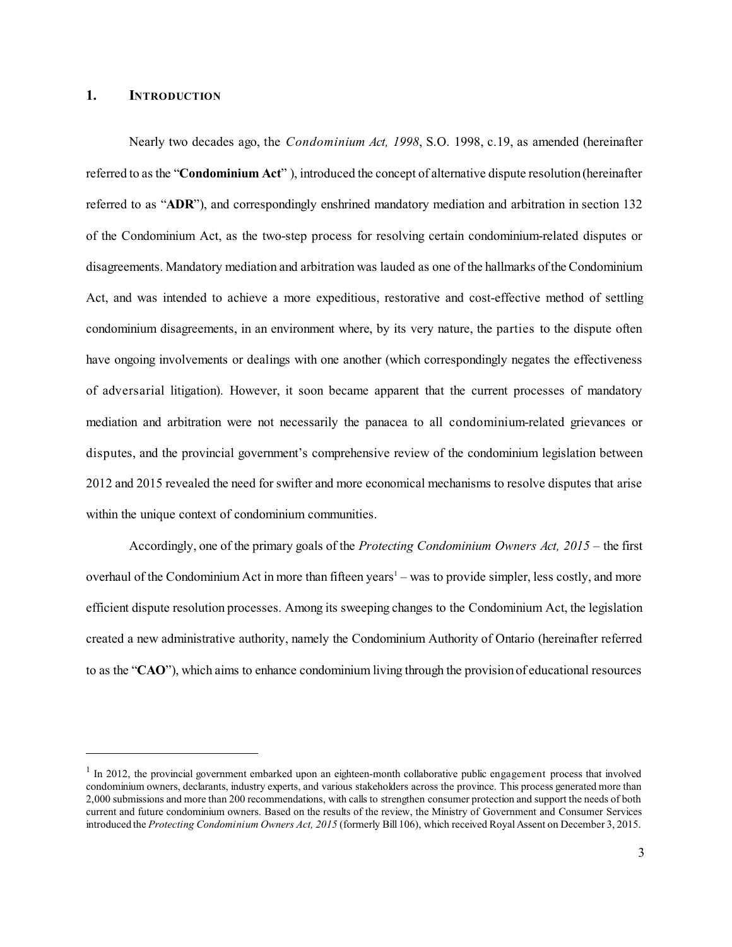### **1. INTRODUCTION**

Nearly two decades ago, the *Condominium Act, 1998*, S.O. 1998, c.19, as amended (hereinafter referred to as the "**Condominium Act**" ), introduced the concept of alternative dispute resolution (hereinafter referred to as "**ADR**"), and correspondingly enshrined mandatory mediation and arbitration in section 132 of the Condominium Act, as the two-step process for resolving certain condominium-related disputes or disagreements. Mandatory mediation and arbitration was lauded as one of the hallmarks ofthe Condominium Act, and was intended to achieve a more expeditious, restorative and cost-effective method of settling condominium disagreements, in an environment where, by its very nature, the parties to the dispute often have ongoing involvements or dealings with one another (which correspondingly negates the effectiveness of adversarial litigation). However, it soon became apparent that the current processes of mandatory mediation and arbitration were not necessarily the panacea to all condominium-related grievances or disputes, and the provincial government's comprehensive review of the condominium legislation between 2012 and 2015 revealed the need for swifter and more economical mechanisms to resolve disputes that arise within the unique context of condominium communities.

Accordingly, one of the primary goals of the *Protecting Condominium Owners Act, 2015* – the first overhaul of the Condominium Act in more than fifteen years <sup>1</sup> – was to provide simpler, less costly, and more efficient dispute resolution processes. Among its sweeping changes to the Condominium Act, the legislation created a new administrative authority, namely the Condominium Authority of Ontario (hereinafter referred to as the "**CAO**"), which aims to enhance condominium living through the provision of educational resources

<sup>&</sup>lt;sup>1</sup> In 2012, the provincial government embarked upon an eighteen-month collaborative public engagement process that involved condominium owners, declarants, industry experts, and various stakeholders across the province. This process generated more than 2,000 submissions and more than 200 recommendations, with calls to strengthen consumer protection and support the needs of both current and future condominium owners. Based on the results of the review, the Ministry of Government and Consumer Services introduced the *Protecting Condominium Owners Act, 2015* (formerly Bill 106), which received Royal Assent on December 3, 2015.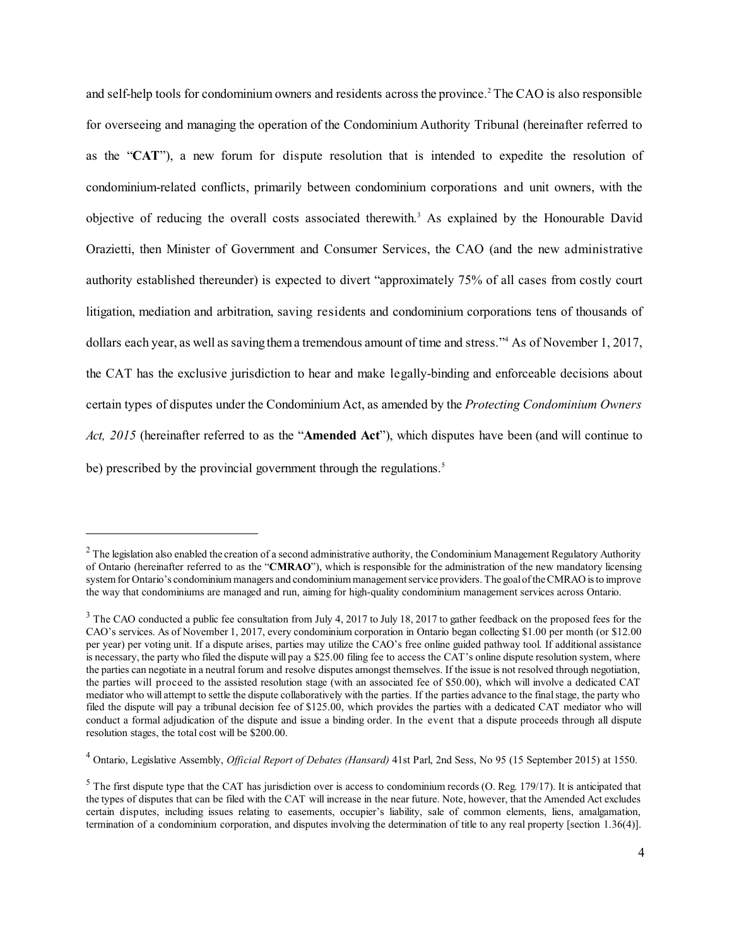and self-help tools for condominium owners and residents across the province. <sup>2</sup> The CAO is also responsible for overseeing and managing the operation of the Condominium Authority Tribunal (hereinafter referred to as the "**CAT**"), a new forum for dispute resolution that is intended to expedite the resolution of condominium-related conflicts, primarily between condominium corporations and unit owners, with the objective of reducing the overall costs associated therewith. <sup>3</sup> As explained by the Honourable David Orazietti, then Minister of Government and Consumer Services, the CAO (and the new administrative authority established thereunder) is expected to divert "approximately 75% of all cases from costly court litigation, mediation and arbitration, saving residents and condominium corporations tens of thousands of dollars each year, as well as saving thema tremendous amount of time and stress." <sup>4</sup> As of November 1, 2017, the CAT has the exclusive jurisdiction to hear and make legally-binding and enforceable decisions about certain types of disputes under the Condominium Act, as amended by the *Protecting Condominium Owners Act, 2015* (hereinafter referred to as the "**Amended Act**"), which disputes have been (and will continue to be) prescribed by the provincial government through the regulations.<sup>5</sup>

 $^2$  The legislation also enabled the creation of a second administrative authority, the Condominium Management Regulatory Authority of Ontario (hereinafter referred to as the "**CMRAO**"), which is responsible for the administration of the new mandatory licensing system for Ontario's condominium managers and condominium management service providers. The goaloftheCMRAO is to improve the way that condominiums are managed and run, aiming for high-quality condominium management services across Ontario.

 $3$  The CAO conducted a public fee consultation from July 4, 2017 to July 18, 2017 to gather feedback on the proposed fees for the CAO's services. As of November 1, 2017, every condominium corporation in Ontario began collecting \$1.00 per month (or \$12.00 per year) per voting unit. If a dispute arises, parties may utilize the CAO's free online guided pathway tool. If additional assistance is necessary, the party who filed the dispute will pay a \$25.00 filing fee to access the CAT's online dispute resolution system, where the parties can negotiate in a neutral forum and resolve disputes amongst themselves. If the issue is not resolved through negotiation, the parties will proceed to the assisted resolution stage (with an associated fee of \$50.00), which will involve a dedicated CAT mediator who will attempt to settle the dispute collaboratively with the parties. If the parties advance to the finalstage, the party who filed the dispute will pay a tribunal decision fee of \$125.00, which provides the parties with a dedicated CAT mediator who will conduct a formal adjudication of the dispute and issue a binding order. In the event that a dispute proceeds through all dispute resolution stages, the total cost will be \$200.00.

<sup>4</sup> Ontario, Legislative Assembly, *Official Report of Debates (Hansard)* 41st Parl, 2nd Sess, No 95 (15 September 2015) at 1550.

 $<sup>5</sup>$  The first dispute type that the CAT has jurisdiction over is access to condominium records (O. Reg. 179/17). It is anticipated that</sup> the types of disputes that can be filed with the CAT will increase in the near future. Note, however, that the Amended Act excludes certain disputes, including issues relating to easements, occupier's liability, sale of common elements, liens, amalgamation, termination of a condominium corporation, and disputes involving the determination of title to any real property [section 1.36(4)].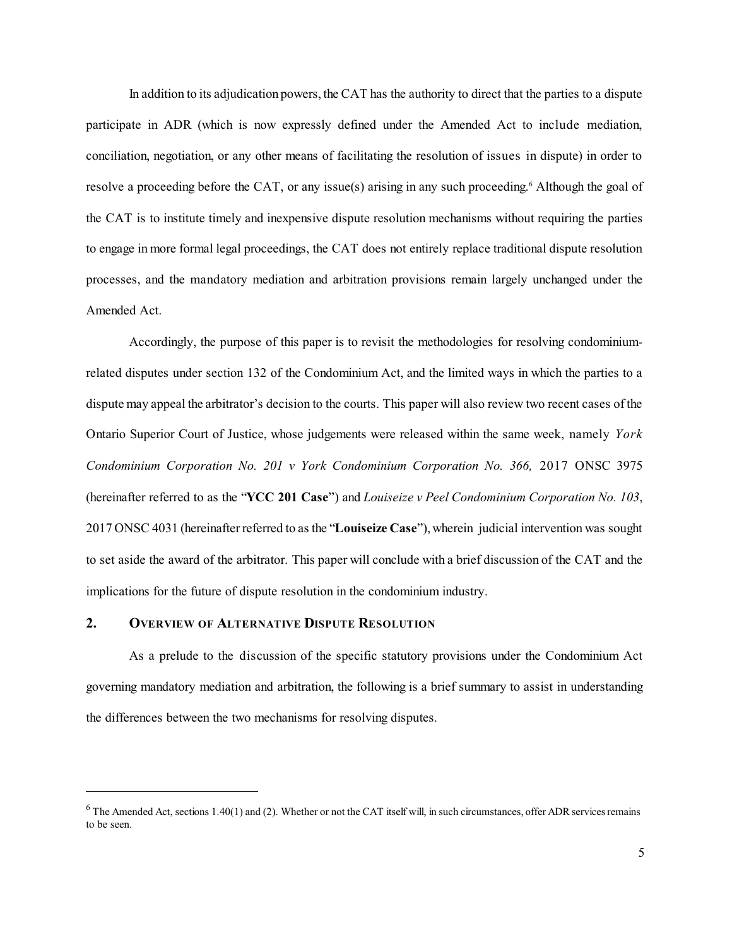In addition to its adjudication powers, the CAT has the authority to direct that the parties to a dispute participate in ADR (which is now expressly defined under the Amended Act to include mediation, conciliation, negotiation, or any other means of facilitating the resolution of issues in dispute) in order to resolve a proceeding before the CAT, or any issue(s) arising in any such proceeding. <sup>6</sup> Although the goal of the CAT is to institute timely and inexpensive dispute resolution mechanisms without requiring the parties to engage in more formal legal proceedings, the CAT does not entirely replace traditional dispute resolution processes, and the mandatory mediation and arbitration provisions remain largely unchanged under the Amended Act.

Accordingly, the purpose of this paper is to revisit the methodologies for resolving condominiumrelated disputes under section 132 of the Condominium Act, and the limited ways in which the parties to a dispute may appeal the arbitrator's decision to the courts. This paper will also review two recent cases ofthe Ontario Superior Court of Justice, whose judgements were released within the same week, namely *York Condominium Corporation No. 201 v York Condominium Corporation No. 366,* 2017 ONSC 3975 (hereinafter referred to as the "**YCC 201 Case**") and *Louiseize v Peel Condominium Corporation No. 103*, 2017 ONSC 4031 (hereinafterreferred to as the "**Louiseize Case**"), wherein judicial intervention was sought to set aside the award of the arbitrator. This paper will conclude with a brief discussion of the CAT and the implications for the future of dispute resolution in the condominium industry.

### **2. OVERVIEW OF ALTERNATIVE DISPUTE RESOLUTION**

As a prelude to the discussion of the specific statutory provisions under the Condominium Act governing mandatory mediation and arbitration, the following is a brief summary to assist in understanding the differences between the two mechanisms for resolving disputes.

 $6$  The Amended Act, sections 1.40(1) and (2). Whether or not the CAT itself will, in such circumstances, offer ADR services remains to be seen.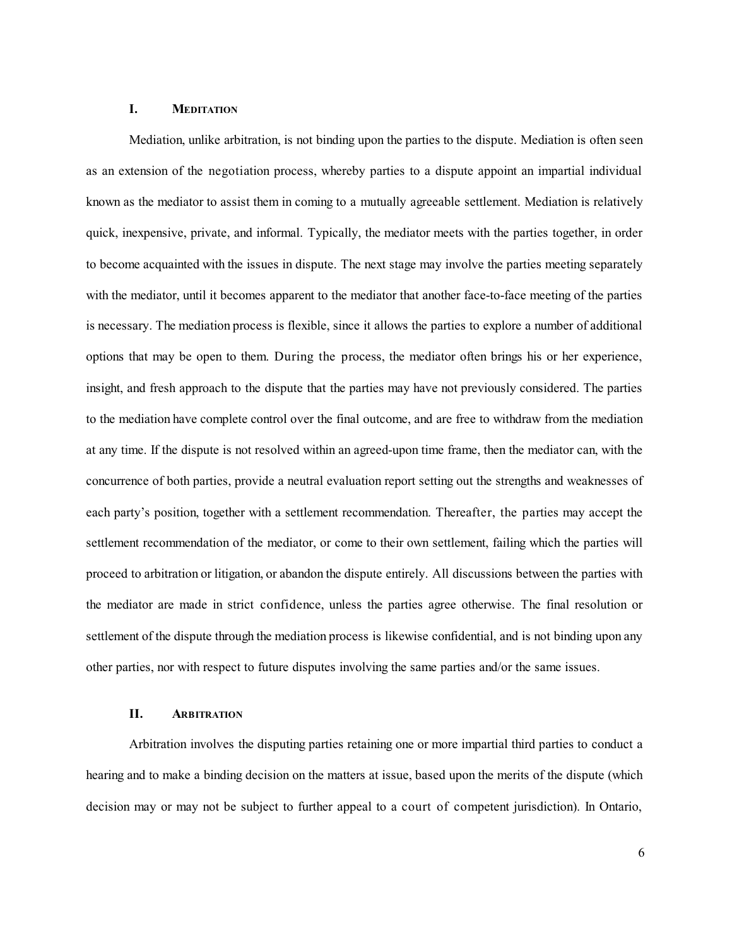### **I. MEDITATION**

Mediation, unlike arbitration, is not binding upon the parties to the dispute. Mediation is often seen as an extension of the negotiation process, whereby parties to a dispute appoint an impartial individual known as the mediator to assist them in coming to a mutually agreeable settlement. Mediation is relatively quick, inexpensive, private, and informal. Typically, the mediator meets with the parties together, in order to become acquainted with the issues in dispute. The next stage may involve the parties meeting separately with the mediator, until it becomes apparent to the mediator that another face-to-face meeting of the parties is necessary. The mediation process is flexible, since it allows the parties to explore a number of additional options that may be open to them. During the process, the mediator often brings his or her experience, insight, and fresh approach to the dispute that the parties may have not previously considered. The parties to the mediation have complete control over the final outcome, and are free to withdraw from the mediation at any time. If the dispute is not resolved within an agreed-upon time frame, then the mediator can, with the concurrence of both parties, provide a neutral evaluation report setting out the strengths and weaknesses of each party's position, together with a settlement recommendation. Thereafter, the parties may accept the settlement recommendation of the mediator, or come to their own settlement, failing which the parties will proceed to arbitration or litigation, or abandon the dispute entirely. All discussions between the parties with the mediator are made in strict confidence, unless the parties agree otherwise. The final resolution or settlement of the dispute through the mediation process is likewise confidential, and is not binding upon any other parties, nor with respect to future disputes involving the same parties and/or the same issues.

#### **II. ARBITRATION**

Arbitration involves the disputing parties retaining one or more impartial third parties to conduct a hearing and to make a binding decision on the matters at issue, based upon the merits of the dispute (which decision may or may not be subject to further appeal to a court of competent jurisdiction). In Ontario,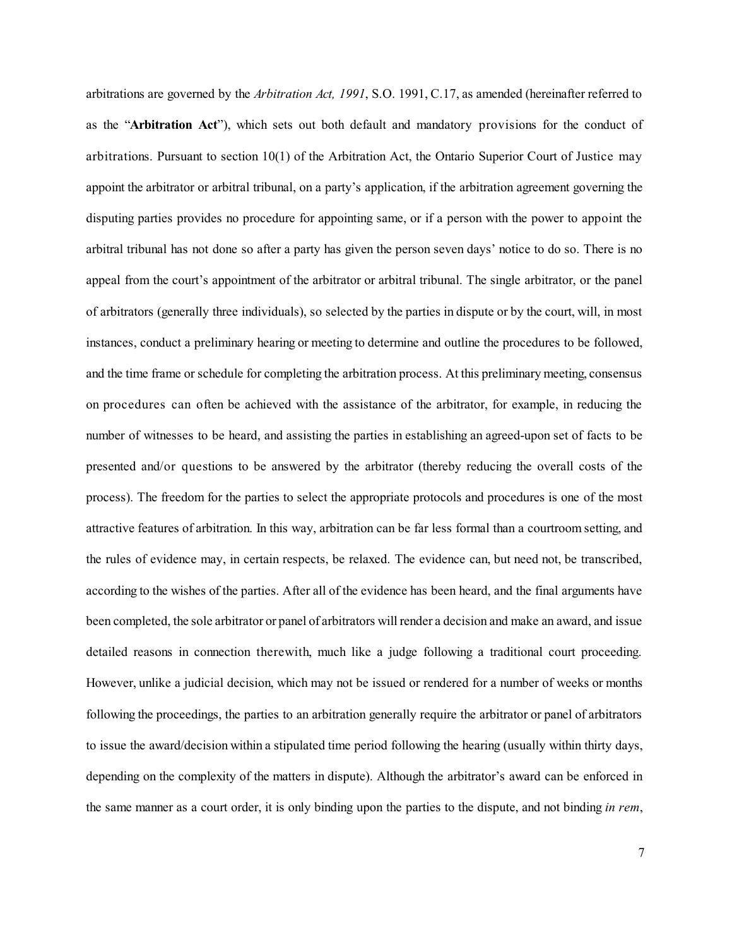arbitrations are governed by the *Arbitration Act, 1991*, S.O. 1991, C.17, as amended (hereinafter referred to as the "**Arbitration Act**"), which sets out both default and mandatory provisions for the conduct of arbitrations. Pursuant to section 10(1) of the Arbitration Act, the Ontario Superior Court of Justice may appoint the arbitrator or arbitral tribunal, on a party's application, if the arbitration agreement governing the disputing parties provides no procedure for appointing same, or if a person with the power to appoint the arbitral tribunal has not done so after a party has given the person seven days' notice to do so. There is no appeal from the court's appointment of the arbitrator or arbitral tribunal. The single arbitrator, or the panel of arbitrators (generally three individuals), so selected by the parties in dispute or by the court, will, in most instances, conduct a preliminary hearing or meeting to determine and outline the procedures to be followed, and the time frame or schedule for completing the arbitration process. At this preliminary meeting, consensus on procedures can often be achieved with the assistance of the arbitrator, for example, in reducing the number of witnesses to be heard, and assisting the parties in establishing an agreed-upon set of facts to be presented and/or questions to be answered by the arbitrator (thereby reducing the overall costs of the process). The freedom for the parties to select the appropriate protocols and procedures is one of the most attractive features of arbitration. In this way, arbitration can be far less formal than a courtroom setting, and the rules of evidence may, in certain respects, be relaxed. The evidence can, but need not, be transcribed, according to the wishes of the parties. After all of the evidence has been heard, and the final arguments have been completed, the sole arbitrator or panel of arbitrators will render a decision and make an award, and issue detailed reasons in connection therewith, much like a judge following a traditional court proceeding. However, unlike a judicial decision, which may not be issued or rendered for a number of weeks or months following the proceedings, the parties to an arbitration generally require the arbitrator or panel of arbitrators to issue the award/decision within a stipulated time period following the hearing (usually within thirty days, depending on the complexity of the matters in dispute). Although the arbitrator's award can be enforced in the same manner as a court order, it is only binding upon the parties to the dispute, and not binding *in rem*,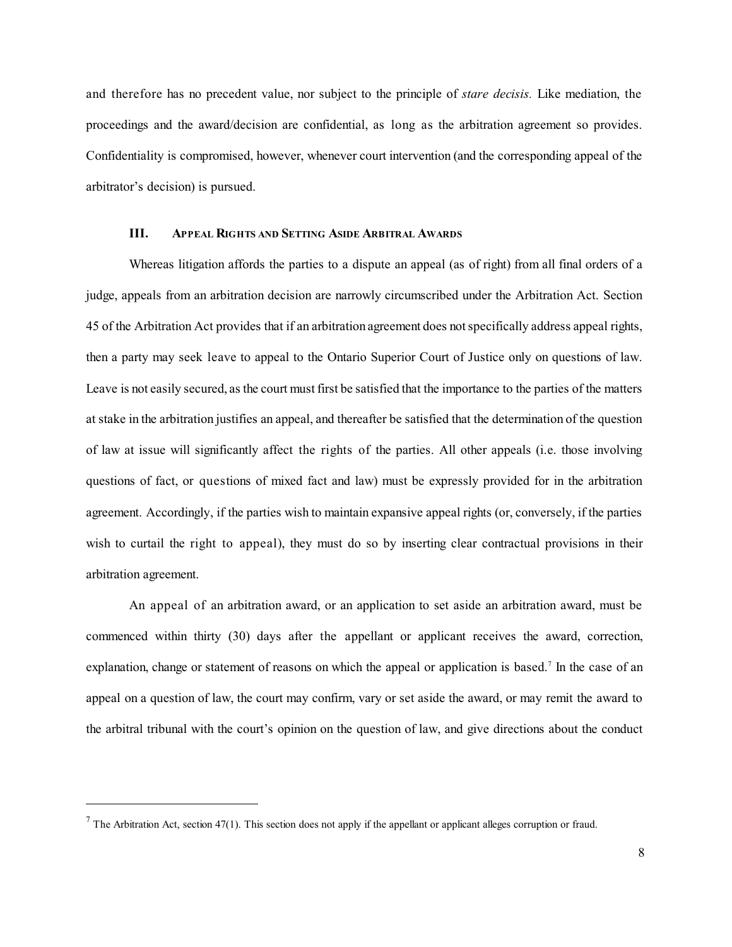and therefore has no precedent value, nor subject to the principle of *stare decisis.* Like mediation, the proceedings and the award/decision are confidential, as long as the arbitration agreement so provides. Confidentiality is compromised, however, whenever court intervention (and the corresponding appeal of the arbitrator's decision) is pursued.

### **III. APPEAL RIGHTS AND SETTING ASIDE ARBITRAL AWARDS**

Whereas litigation affords the parties to a dispute an appeal (as of right) from all final orders of a judge, appeals from an arbitration decision are narrowly circumscribed under the Arbitration Act. Section 45 of the Arbitration Act provides that if an arbitration agreement does notspecifically address appeal rights, then a party may seek leave to appeal to the Ontario Superior Court of Justice only on questions of law. Leave is not easily secured, as the court must first be satisfied that the importance to the parties of the matters at stake in the arbitration justifies an appeal, and thereafter be satisfied that the determination of the question of law at issue will significantly affect the rights of the parties. All other appeals (i.e. those involving questions of fact, or questions of mixed fact and law) must be expressly provided for in the arbitration agreement. Accordingly, if the parties wish to maintain expansive appeal rights (or, conversely, if the parties wish to curtail the right to appeal), they must do so by inserting clear contractual provisions in their arbitration agreement.

An appeal of an arbitration award, or an application to set aside an arbitration award, must be commenced within thirty (30) days after the appellant or applicant receives the award, correction, explanation, change or statement of reasons on which the appeal or application is based.<sup>7</sup> In the case of an appeal on a question of law, the court may confirm, vary or set aside the award, or may remit the award to the arbitral tribunal with the court's opinion on the question of law, and give directions about the conduct

<sup>&</sup>lt;sup>7</sup> The Arbitration Act, section 47(1). This section does not apply if the appellant or applicant alleges corruption or fraud.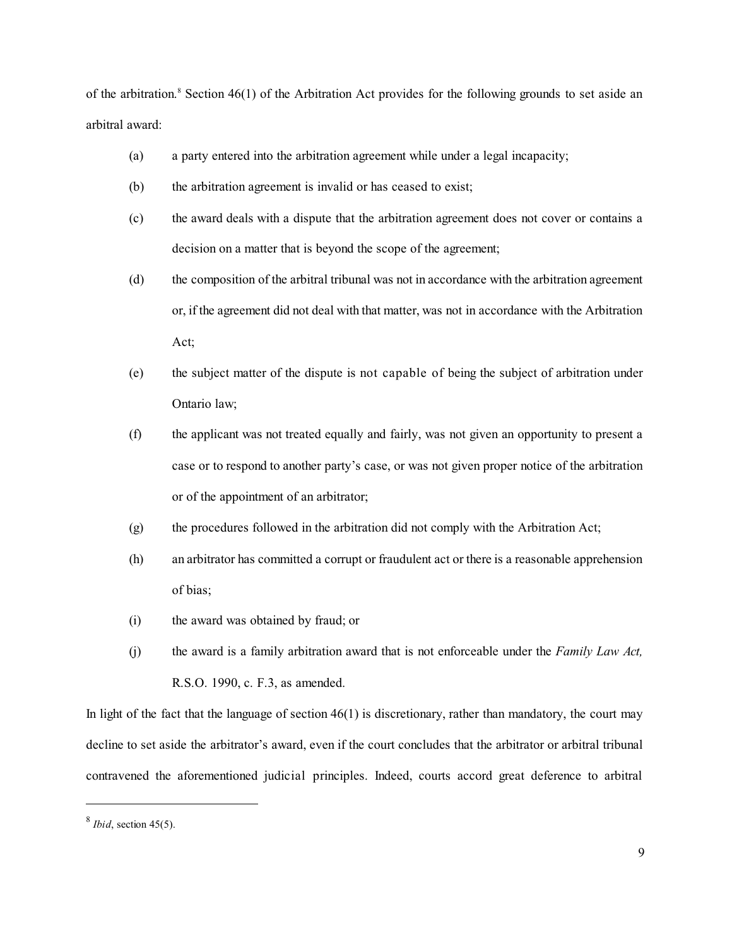of the arbitration. <sup>8</sup> Section 46(1) of the Arbitration Act provides for the following grounds to set aside an arbitral award:

- (a) a party entered into the arbitration agreement while under a legal incapacity;
- (b) the arbitration agreement is invalid or has ceased to exist;
- (c) the award deals with a dispute that the arbitration agreement does not cover or contains a decision on a matter that is beyond the scope of the agreement;
- (d) the composition of the arbitral tribunal was not in accordance with the arbitration agreement or, if the agreement did not deal with that matter, was not in accordance with the Arbitration Act;
- (e) the subject matter of the dispute is not capable of being the subject of arbitration under Ontario law;
- (f) the applicant was not treated equally and fairly, was not given an opportunity to present a case or to respond to another party's case, or was not given proper notice of the arbitration or of the appointment of an arbitrator;
- (g) the procedures followed in the arbitration did not comply with the Arbitration Act;
- (h) an arbitrator has committed a corrupt or fraudulent act or there is a reasonable apprehension of bias;
- (i) the award was obtained by fraud; or
- (j) the award is a family arbitration award that is not enforceable under the *Family Law Act,* R.S.O. 1990, c. F.3, as amended.

In light of the fact that the language of section  $46(1)$  is discretionary, rather than mandatory, the court may decline to set aside the arbitrator's award, even if the court concludes that the arbitrator or arbitral tribunal contravened the aforementioned judicial principles. Indeed, courts accord great deference to arbitral

 $<sup>8</sup>$  *Ibid*, section 45(5).</sup>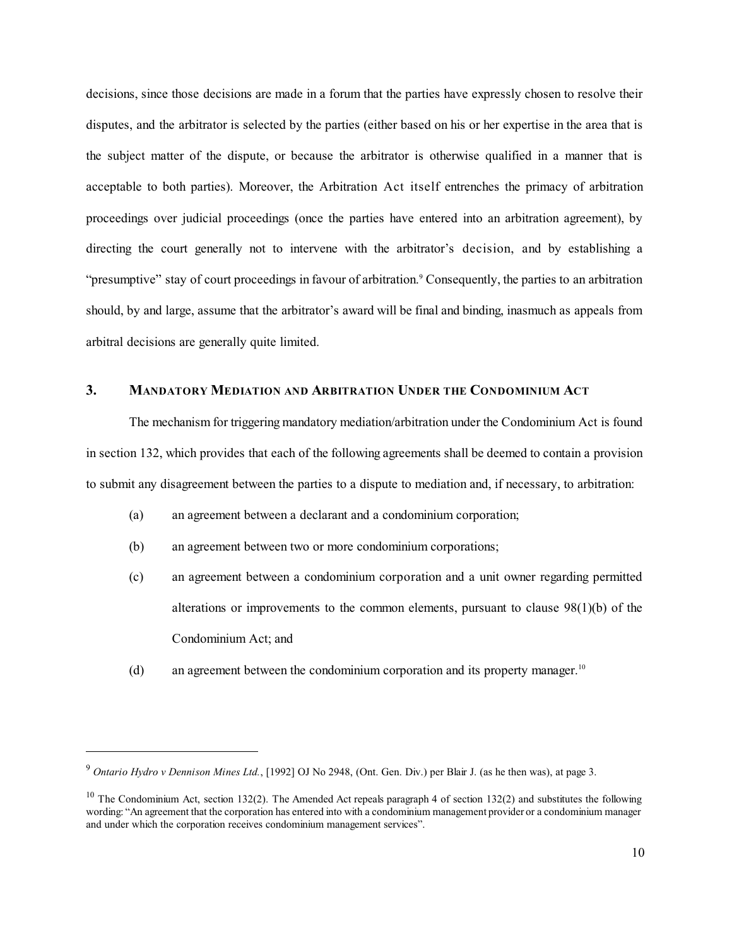decisions, since those decisions are made in a forum that the parties have expressly chosen to resolve their disputes, and the arbitrator is selected by the parties (either based on his or her expertise in the area that is the subject matter of the dispute, or because the arbitrator is otherwise qualified in a manner that is acceptable to both parties). Moreover, the Arbitration Act itself entrenches the primacy of arbitration proceedings over judicial proceedings (once the parties have entered into an arbitration agreement), by directing the court generally not to intervene with the arbitrator's decision, and by establishing a "presumptive" stay of court proceedings in favour of arbitration. <sup>9</sup> Consequently, the parties to an arbitration should, by and large, assume that the arbitrator's award will be final and binding, inasmuch as appeals from arbitral decisions are generally quite limited.

## **3. MANDATORY MEDIATION AND ARBITRATION UNDER THE CONDOMINIUM ACT**

The mechanism for triggering mandatory mediation/arbitration under the Condominium Act is found in section 132, which provides that each of the following agreements shall be deemed to contain a provision to submit any disagreement between the parties to a dispute to mediation and, if necessary, to arbitration:

- (a) an agreement between a declarant and a condominium corporation;
- (b) an agreement between two or more condominium corporations;
- (c) an agreement between a condominium corporation and a unit owner regarding permitted alterations or improvements to the common elements, pursuant to clause 98(1)(b) of the Condominium Act; and
- (d) an agreement between the condominium corporation and its property manager.<sup>10</sup>

<sup>9</sup> *Ontario Hydro v Dennison Mines Ltd.*, [1992] OJ No 2948, (Ont. Gen. Div.) per Blair J. (as he then was), at page 3.

<sup>&</sup>lt;sup>10</sup> The Condominium Act, section 132(2). The Amended Act repeals paragraph 4 of section 132(2) and substitutes the following wording: "An agreement that the corporation has entered into with a condominium management provider or a condominium manager and under which the corporation receives condominium management services".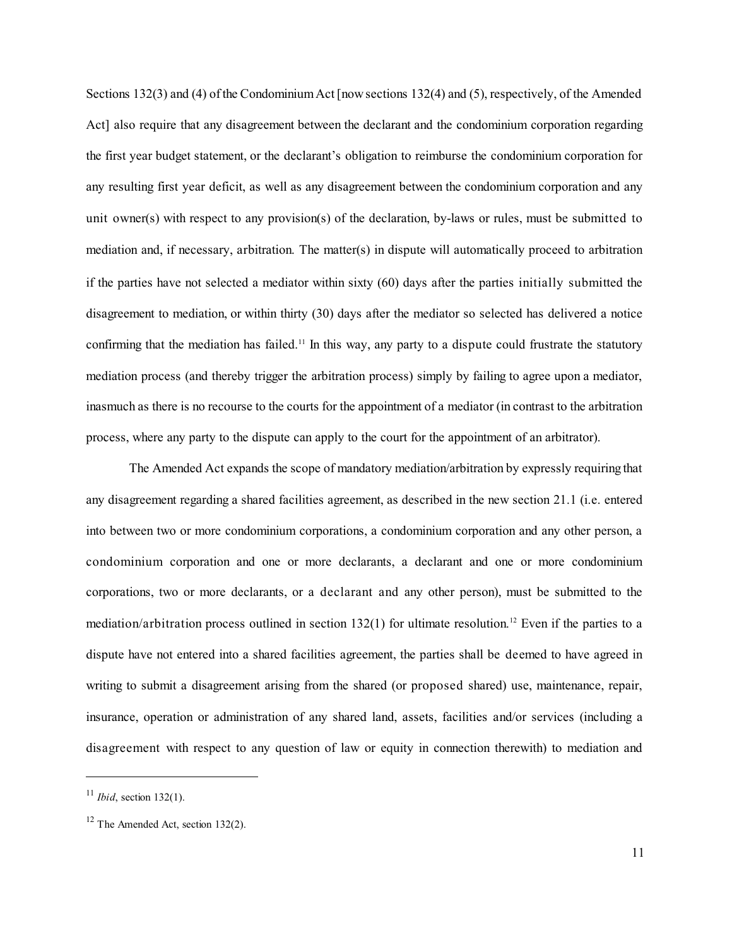Sections 132(3) and (4) of the Condominium Act [now sections 132(4) and (5), respectively, of the Amended Act] also require that any disagreement between the declarant and the condominium corporation regarding the first year budget statement, or the declarant's obligation to reimburse the condominium corporation for any resulting first year deficit, as well as any disagreement between the condominium corporation and any unit owner(s) with respect to any provision(s) of the declaration, by-laws or rules, must be submitted to mediation and, if necessary, arbitration. The matter(s) in dispute will automatically proceed to arbitration if the parties have not selected a mediator within sixty (60) days after the parties initially submitted the disagreement to mediation, or within thirty (30) days after the mediator so selected has delivered a notice confirming that the mediation has failed.<sup>11</sup> In this way, any party to a dispute could frustrate the statutory mediation process (and thereby trigger the arbitration process) simply by failing to agree upon a mediator, inasmuch as there is no recourse to the courts for the appointment of a mediator (in contrast to the arbitration process, where any party to the dispute can apply to the court for the appointment of an arbitrator).

The Amended Act expands the scope of mandatory mediation/arbitration by expressly requiring that any disagreement regarding a shared facilities agreement, as described in the new section 21.1 (i.e. entered into between two or more condominium corporations, a condominium corporation and any other person, a condominium corporation and one or more declarants, a declarant and one or more condominium corporations, two or more declarants, or a declarant and any other person), must be submitted to the mediation/arbitration process outlined in section 132(1) for ultimate resolution. <sup>12</sup> Even if the parties to a dispute have not entered into a shared facilities agreement, the parties shall be deemed to have agreed in writing to submit a disagreement arising from the shared (or proposed shared) use, maintenance, repair, insurance, operation or administration of any shared land, assets, facilities and/or services (including a disagreement with respect to any question of law or equity in connection therewith) to mediation and

<sup>11</sup> *Ibid*, section 132(1).

 $12$  The Amended Act, section 132(2).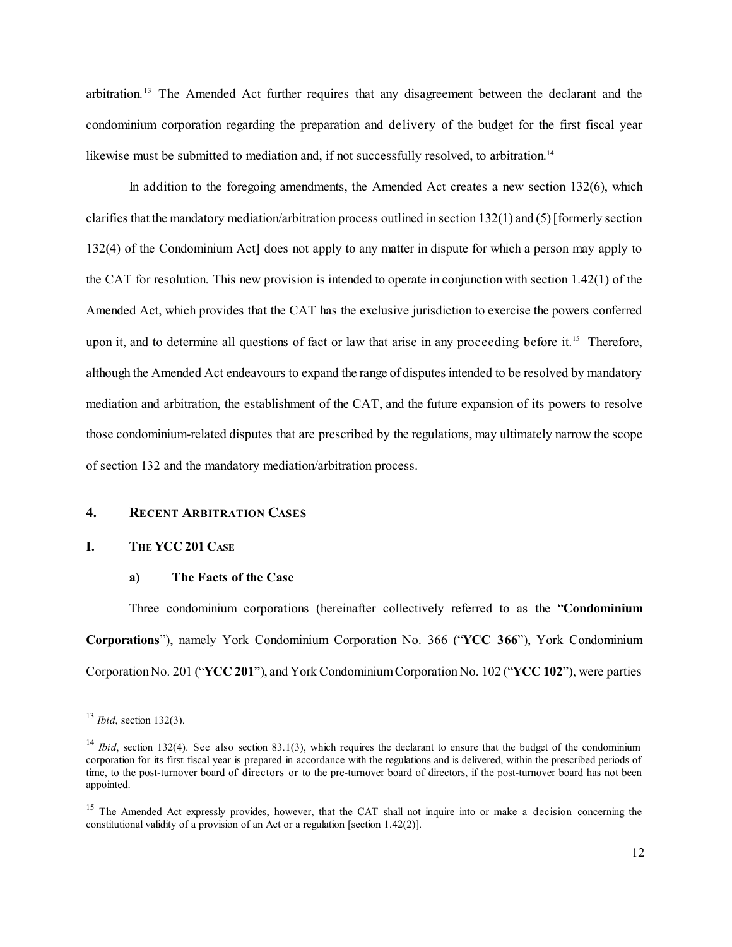arbitration.<sup>13</sup> The Amended Act further requires that any disagreement between the declarant and the condominium corporation regarding the preparation and delivery of the budget for the first fiscal year likewise must be submitted to mediation and, if not successfully resolved, to arbitration.<sup>14</sup>

In addition to the foregoing amendments, the Amended Act creates a new section 132(6), which clarifies that the mandatory mediation/arbitration process outlined in section  $132(1)$  and  $(5)$  [formerly section 132(4) of the Condominium Act] does not apply to any matter in dispute for which a person may apply to the CAT for resolution. This new provision is intended to operate in conjunction with section 1.42(1) of the Amended Act, which provides that the CAT has the exclusive jurisdiction to exercise the powers conferred upon it, and to determine all questions of fact or law that arise in any proceeding before it. <sup>15</sup> Therefore, although the Amended Act endeavours to expand the range of disputes intended to be resolved by mandatory mediation and arbitration, the establishment of the CAT, and the future expansion of its powers to resolve those condominium-related disputes that are prescribed by the regulations, may ultimately narrow the scope of section 132 and the mandatory mediation/arbitration process.

### **4. RECENT ARBITRATION CASES**

### **I. THE YCC 201 CASE**

#### **a) The Facts of the Case**

Three condominium corporations (hereinafter collectively referred to as the "**Condominium Corporations**"), namely York Condominium Corporation No. 366 ("**YCC 366**"), York Condominium CorporationNo. 201 ("**YCC 201**"), and York CondominiumCorporationNo. 102 ("**YCC 102**"), were parties

<sup>13</sup> *Ibid*, section 132(3).

<sup>&</sup>lt;sup>14</sup> *Ibid*, section 132(4). See also section 83.1(3), which requires the declarant to ensure that the budget of the condominium corporation for its first fiscal year is prepared in accordance with the regulations and is delivered, within the prescribed periods of time, to the post-turnover board of directors or to the pre-turnover board of directors, if the post-turnover board has not been appointed.

<sup>&</sup>lt;sup>15</sup> The Amended Act expressly provides, however, that the CAT shall not inquire into or make a decision concerning the constitutional validity of a provision of an Act or a regulation [section 1.42(2)].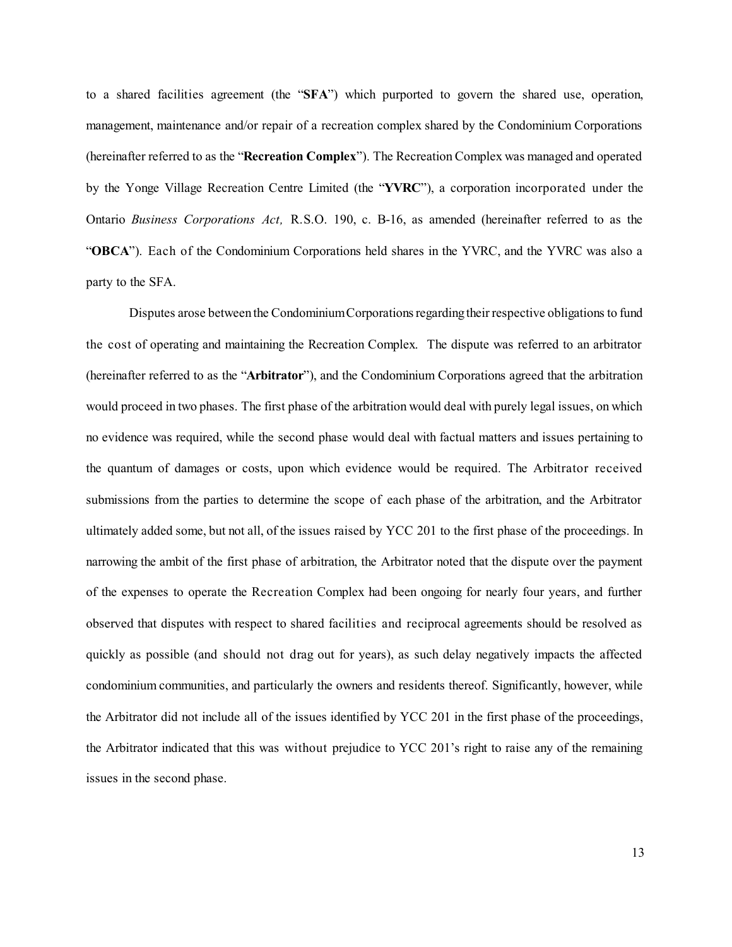to a shared facilities agreement (the "**SFA**") which purported to govern the shared use, operation, management, maintenance and/or repair of a recreation complex shared by the Condominium Corporations (hereinafter referred to as the "**Recreation Complex**"). The Recreation Complex was managed and operated by the Yonge Village Recreation Centre Limited (the "**YVRC**"), a corporation incorporated under the Ontario *Business Corporations Act,* R.S.O. 190, c. B-16, as amended (hereinafter referred to as the "**OBCA**"). Each of the Condominium Corporations held shares in the YVRC, and the YVRC was also a party to the SFA.

Disputes arose between the Condominium Corporations regarding their respective obligations to fund the cost of operating and maintaining the Recreation Complex. The dispute was referred to an arbitrator (hereinafter referred to as the "**Arbitrator**"), and the Condominium Corporations agreed that the arbitration would proceed in two phases. The first phase of the arbitration would deal with purely legal issues, on which no evidence was required, while the second phase would deal with factual matters and issues pertaining to the quantum of damages or costs, upon which evidence would be required. The Arbitrator received submissions from the parties to determine the scope of each phase of the arbitration, and the Arbitrator ultimately added some, but not all, of the issues raised by YCC 201 to the first phase of the proceedings. In narrowing the ambit of the first phase of arbitration, the Arbitrator noted that the dispute over the payment of the expenses to operate the Recreation Complex had been ongoing for nearly four years, and further observed that disputes with respect to shared facilities and reciprocal agreements should be resolved as quickly as possible (and should not drag out for years), as such delay negatively impacts the affected condominium communities, and particularly the owners and residents thereof. Significantly, however, while the Arbitrator did not include all of the issues identified by YCC 201 in the first phase of the proceedings, the Arbitrator indicated that this was without prejudice to YCC 201's right to raise any of the remaining issues in the second phase.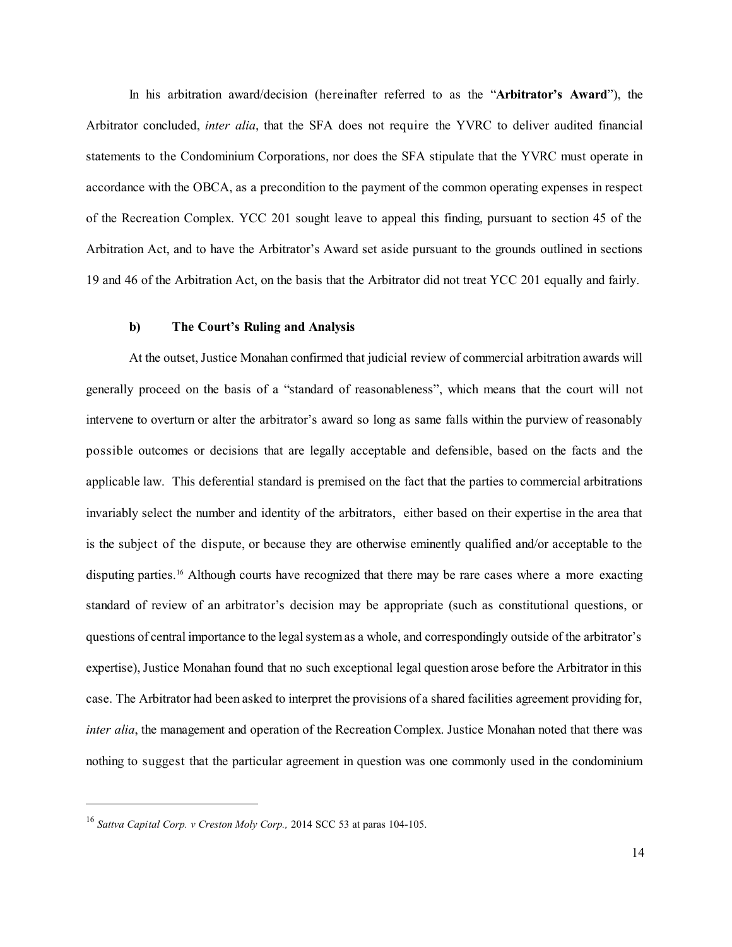In his arbitration award/decision (hereinafter referred to as the "**Arbitrator's Award**"), the Arbitrator concluded, *inter alia*, that the SFA does not require the YVRC to deliver audited financial statements to the Condominium Corporations, nor does the SFA stipulate that the YVRC must operate in accordance with the OBCA, as a precondition to the payment of the common operating expenses in respect of the Recreation Complex. YCC 201 sought leave to appeal this finding, pursuant to section 45 of the Arbitration Act, and to have the Arbitrator's Award set aside pursuant to the grounds outlined in sections 19 and 46 of the Arbitration Act, on the basis that the Arbitrator did not treat YCC 201 equally and fairly.

### **b) The Court's Ruling and Analysis**

At the outset, Justice Monahan confirmed that judicial review of commercial arbitration awards will generally proceed on the basis of a "standard of reasonableness", which means that the court will not intervene to overturn or alter the arbitrator's award so long as same falls within the purview of reasonably possible outcomes or decisions that are legally acceptable and defensible, based on the facts and the applicable law. This deferential standard is premised on the fact that the parties to commercial arbitrations invariably select the number and identity of the arbitrators, either based on their expertise in the area that is the subject of the dispute, or because they are otherwise eminently qualified and/or acceptable to the disputing parties. <sup>16</sup> Although courts have recognized that there may be rare cases where a more exacting standard of review of an arbitrator's decision may be appropriate (such as constitutional questions, or questions of central importance to the legal system as a whole, and correspondingly outside of the arbitrator's expertise), Justice Monahan found that no such exceptional legal question arose before the Arbitrator in this case. The Arbitrator had been asked to interpret the provisions of a shared facilities agreement providing for, *inter alia*, the management and operation of the Recreation Complex. Justice Monahan noted that there was nothing to suggest that the particular agreement in question was one commonly used in the condominium

<sup>16</sup> *Sattva Capital Corp. v Creston Moly Corp.,* 2014 SCC 53 at paras 104-105.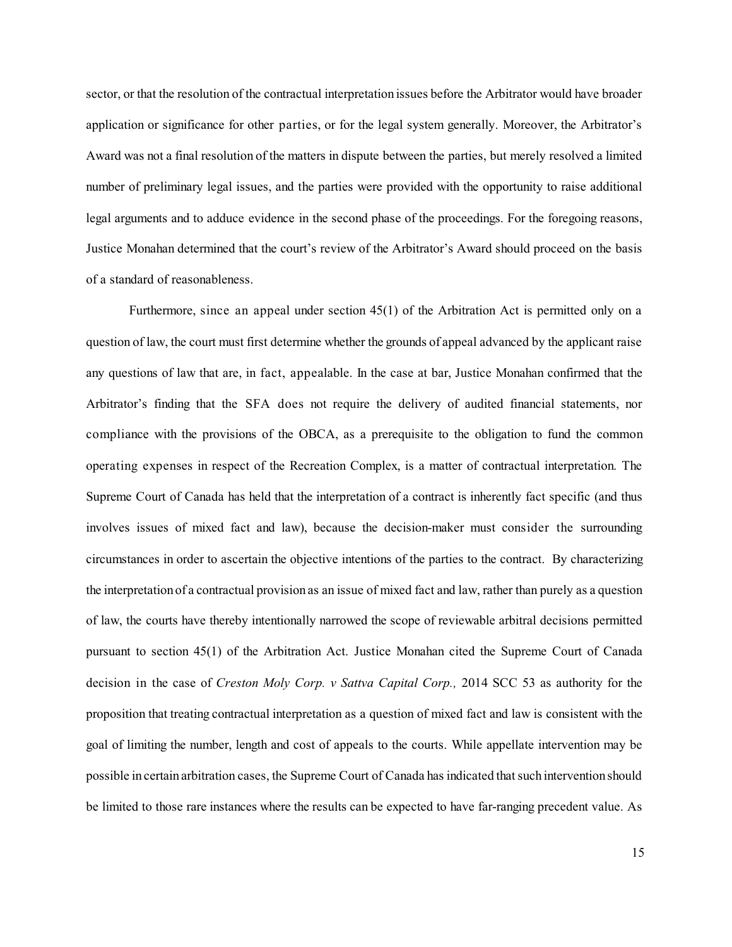sector, or that the resolution of the contractual interpretation issues before the Arbitrator would have broader application or significance for other parties, or for the legal system generally. Moreover, the Arbitrator's Award was not a final resolution of the matters in dispute between the parties, but merely resolved a limited number of preliminary legal issues, and the parties were provided with the opportunity to raise additional legal arguments and to adduce evidence in the second phase of the proceedings. For the foregoing reasons, Justice Monahan determined that the court's review of the Arbitrator's Award should proceed on the basis of a standard of reasonableness.

Furthermore, since an appeal under section 45(1) of the Arbitration Act is permitted only on a question of law, the court must first determine whether the grounds of appeal advanced by the applicant raise any questions of law that are, in fact, appealable. In the case at bar, Justice Monahan confirmed that the Arbitrator's finding that the SFA does not require the delivery of audited financial statements, nor compliance with the provisions of the OBCA, as a prerequisite to the obligation to fund the common operating expenses in respect of the Recreation Complex, is a matter of contractual interpretation. The Supreme Court of Canada has held that the interpretation of a contract is inherently fact specific (and thus involves issues of mixed fact and law), because the decision-maker must consider the surrounding circumstances in order to ascertain the objective intentions of the parties to the contract. By characterizing the interpretation of a contractual provision as an issue of mixed fact and law, rather than purely as a question of law, the courts have thereby intentionally narrowed the scope of reviewable arbitral decisions permitted pursuant to section 45(1) of the Arbitration Act. Justice Monahan cited the Supreme Court of Canada decision in the case of *Creston Moly Corp. v Sattva Capital Corp.,* 2014 SCC 53 as authority for the proposition that treating contractual interpretation as a question of mixed fact and law is consistent with the goal of limiting the number, length and cost of appeals to the courts. While appellate intervention may be possible in certain arbitration cases, the Supreme Court of Canada has indicated thatsuch intervention should be limited to those rare instances where the results can be expected to have far-ranging precedent value. As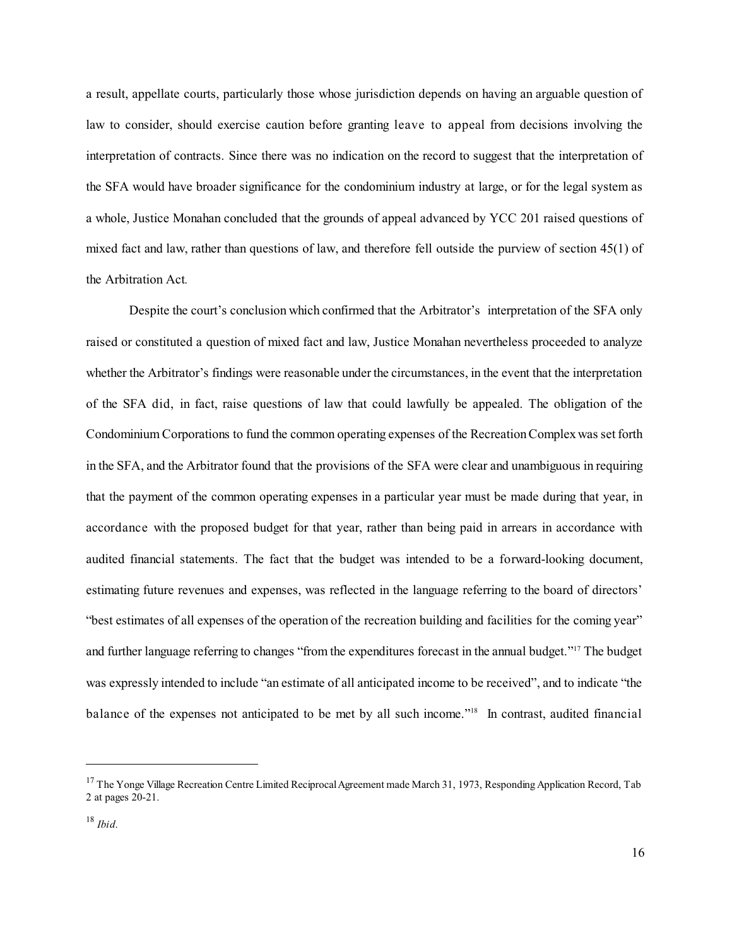a result, appellate courts, particularly those whose jurisdiction depends on having an arguable question of law to consider, should exercise caution before granting leave to appeal from decisions involving the interpretation of contracts. Since there was no indication on the record to suggest that the interpretation of the SFA would have broader significance for the condominium industry at large, or for the legal system as a whole, Justice Monahan concluded that the grounds of appeal advanced by YCC 201 raised questions of mixed fact and law, rather than questions of law, and therefore fell outside the purview of section 45(1) of the Arbitration Act*.*

Despite the court's conclusion which confirmed that the Arbitrator's interpretation of the SFA only raised or constituted a question of mixed fact and law, Justice Monahan nevertheless proceeded to analyze whether the Arbitrator's findings were reasonable under the circumstances, in the event that the interpretation of the SFA did, in fact, raise questions of law that could lawfully be appealed. The obligation of the Condominium Corporations to fund the common operating expenses of the RecreationComplexwas set forth in the SFA, and the Arbitrator found that the provisions of the SFA were clear and unambiguous in requiring that the payment of the common operating expenses in a particular year must be made during that year, in accordance with the proposed budget for that year, rather than being paid in arrears in accordance with audited financial statements. The fact that the budget was intended to be a forward-looking document, estimating future revenues and expenses, was reflected in the language referring to the board of directors' "best estimates of all expenses of the operation of the recreation building and facilities for the coming year" and further language referring to changes "from the expenditures forecast in the annual budget."<sup>17</sup> The budget was expressly intended to include "an estimate of all anticipated income to be received", and to indicate "the balance of the expenses not anticipated to be met by all such income."<sup>18</sup> In contrast, audited financial

<sup>&</sup>lt;sup>17</sup> The Yonge Village Recreation Centre Limited Reciprocal Agreement made March 31, 1973, Responding Application Record, Tab 2 at pages 20-21.

<sup>18</sup> *Ibid*.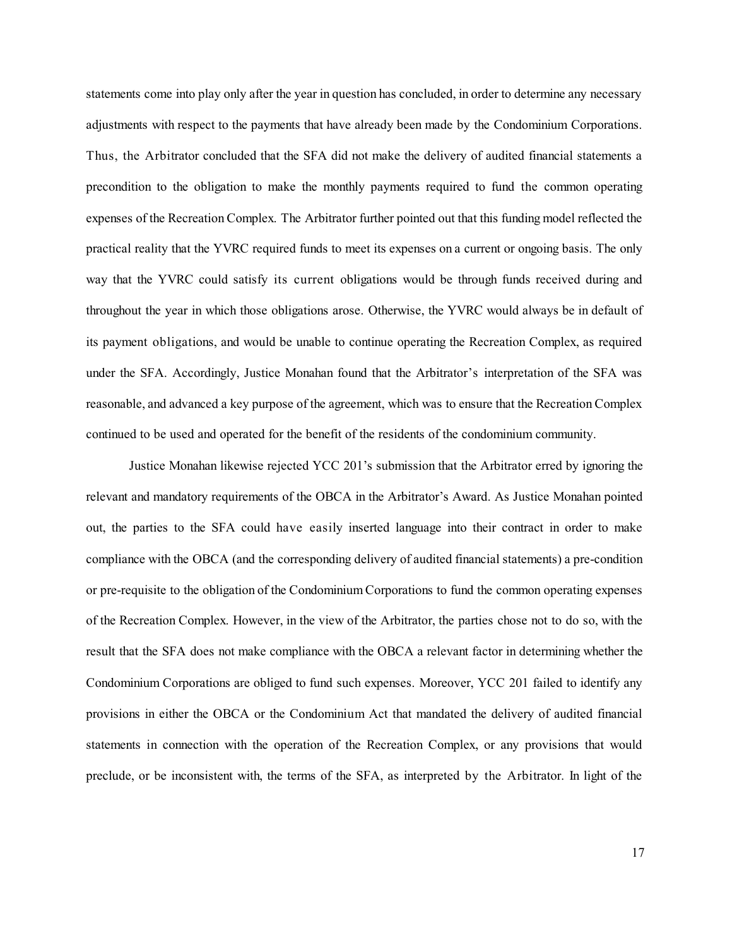statements come into play only after the year in question has concluded, in order to determine any necessary adjustments with respect to the payments that have already been made by the Condominium Corporations. Thus, the Arbitrator concluded that the SFA did not make the delivery of audited financial statements a precondition to the obligation to make the monthly payments required to fund the common operating expenses of the Recreation Complex. The Arbitrator further pointed out that this funding model reflected the practical reality that the YVRC required funds to meet its expenses on a current or ongoing basis. The only way that the YVRC could satisfy its current obligations would be through funds received during and throughout the year in which those obligations arose. Otherwise, the YVRC would always be in default of its payment obligations, and would be unable to continue operating the Recreation Complex, as required under the SFA. Accordingly, Justice Monahan found that the Arbitrator's interpretation of the SFA was reasonable, and advanced a key purpose of the agreement, which was to ensure that the Recreation Complex continued to be used and operated for the benefit of the residents of the condominium community.

Justice Monahan likewise rejected YCC 201's submission that the Arbitrator erred by ignoring the relevant and mandatory requirements of the OBCA in the Arbitrator's Award. As Justice Monahan pointed out, the parties to the SFA could have easily inserted language into their contract in order to make compliance with the OBCA (and the corresponding delivery of audited financial statements) a pre-condition or pre-requisite to the obligation of the Condominium Corporations to fund the common operating expenses of the Recreation Complex. However, in the view of the Arbitrator, the parties chose not to do so, with the result that the SFA does not make compliance with the OBCA a relevant factor in determining whether the Condominium Corporations are obliged to fund such expenses. Moreover, YCC 201 failed to identify any provisions in either the OBCA or the Condominium Act that mandated the delivery of audited financial statements in connection with the operation of the Recreation Complex, or any provisions that would preclude, or be inconsistent with, the terms of the SFA, as interpreted by the Arbitrator. In light of the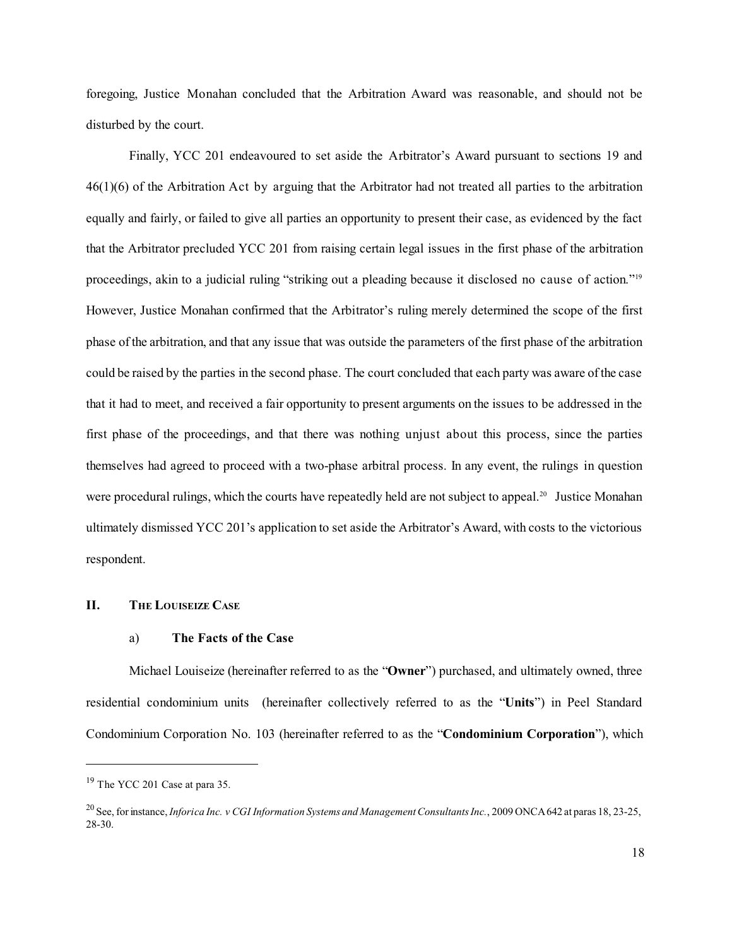foregoing, Justice Monahan concluded that the Arbitration Award was reasonable, and should not be disturbed by the court.

Finally, YCC 201 endeavoured to set aside the Arbitrator's Award pursuant to sections 19 and 46(1)(6) of the Arbitration Act by arguing that the Arbitrator had not treated all parties to the arbitration equally and fairly, or failed to give all parties an opportunity to present their case, as evidenced by the fact that the Arbitrator precluded YCC 201 from raising certain legal issues in the first phase of the arbitration proceedings, akin to a judicial ruling "striking out a pleading because it disclosed no cause of action." 19 However, Justice Monahan confirmed that the Arbitrator's ruling merely determined the scope of the first phase ofthe arbitration, and that any issue that was outside the parameters of the first phase of the arbitration could be raised by the parties in the second phase. The court concluded that each party was aware ofthe case that it had to meet, and received a fair opportunity to present arguments on the issues to be addressed in the first phase of the proceedings, and that there was nothing unjust about this process, since the parties themselves had agreed to proceed with a two-phase arbitral process. In any event, the rulings in question were procedural rulings, which the courts have repeatedly held are not subject to appeal.<sup>20</sup> Justice Monahan ultimately dismissed YCC 201's application to set aside the Arbitrator's Award, with costs to the victorious respondent.

### **II. THE LOUISEIZE CASE**

#### a) **The Facts of the Case**

Michael Louiseize (hereinafter referred to as the "**Owner**") purchased, and ultimately owned, three residential condominium units (hereinafter collectively referred to as the "**Units**") in Peel Standard Condominium Corporation No. 103 (hereinafter referred to as the "**Condominium Corporation**"), which

 $19$  The YCC 201 Case at para 35.

<sup>20</sup> See, for instance, *Inforica Inc. v CGI Information Systems and Management Consultants Inc.*, 2009 ONCA642 at paras 18, 23-25, 28-30.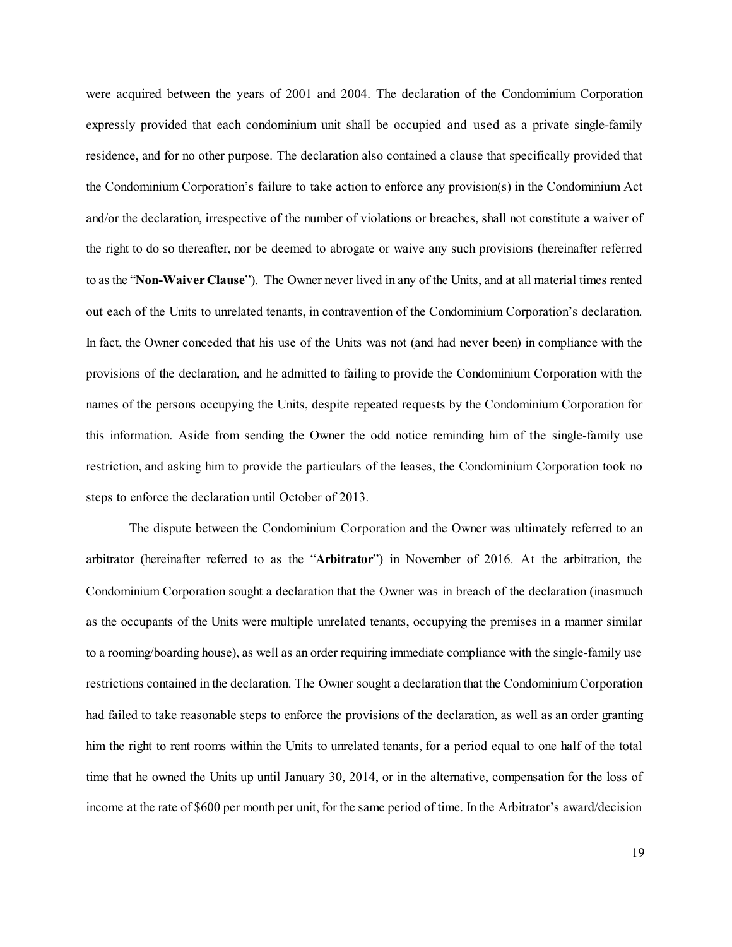were acquired between the years of 2001 and 2004. The declaration of the Condominium Corporation expressly provided that each condominium unit shall be occupied and used as a private single-family residence, and for no other purpose. The declaration also contained a clause that specifically provided that the Condominium Corporation's failure to take action to enforce any provision(s) in the Condominium Act and/or the declaration, irrespective of the number of violations or breaches, shall not constitute a waiver of the right to do so thereafter, nor be deemed to abrogate or waive any such provisions (hereinafter referred to as the "**Non-Waiver Clause**"). The Owner never lived in any of the Units, and at all material times rented out each of the Units to unrelated tenants, in contravention of the Condominium Corporation's declaration. In fact, the Owner conceded that his use of the Units was not (and had never been) in compliance with the provisions of the declaration, and he admitted to failing to provide the Condominium Corporation with the names of the persons occupying the Units, despite repeated requests by the Condominium Corporation for this information. Aside from sending the Owner the odd notice reminding him of the single-family use restriction, and asking him to provide the particulars of the leases, the Condominium Corporation took no steps to enforce the declaration until October of 2013.

The dispute between the Condominium Corporation and the Owner was ultimately referred to an arbitrator (hereinafter referred to as the "**Arbitrator**") in November of 2016. At the arbitration, the Condominium Corporation sought a declaration that the Owner was in breach of the declaration (inasmuch as the occupants of the Units were multiple unrelated tenants, occupying the premises in a manner similar to a rooming/boarding house), as well as an order requiring immediate compliance with the single-family use restrictions contained in the declaration. The Owner sought a declaration that the Condominium Corporation had failed to take reasonable steps to enforce the provisions of the declaration, as well as an order granting him the right to rent rooms within the Units to unrelated tenants, for a period equal to one half of the total time that he owned the Units up until January 30, 2014, or in the alternative, compensation for the loss of income at the rate of \$600 per month per unit, for the same period of time. In the Arbitrator's award/decision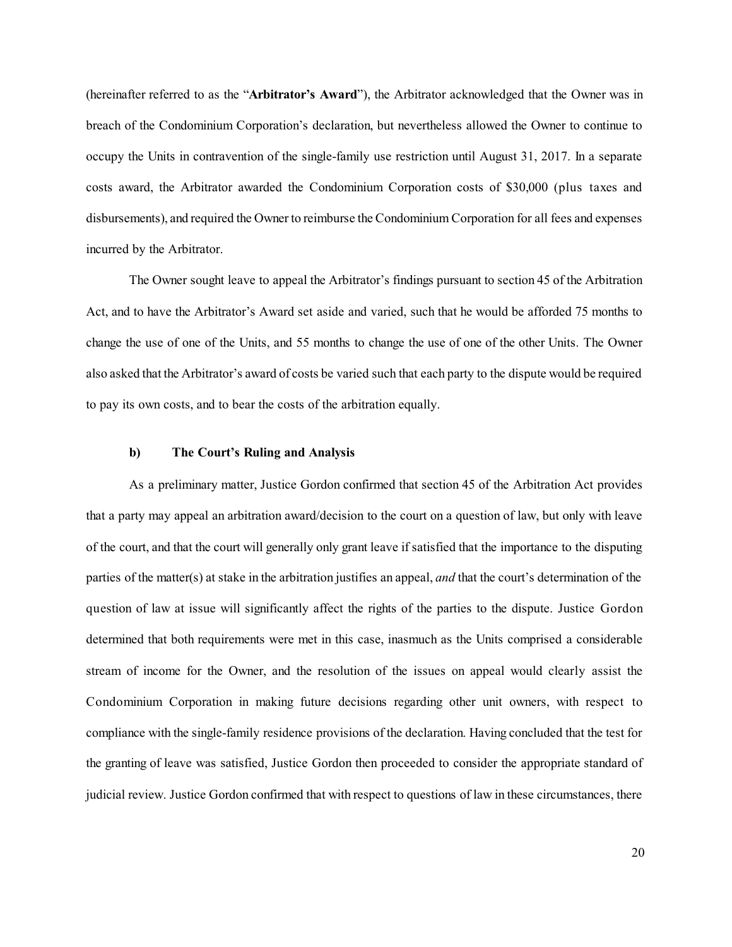(hereinafter referred to as the "**Arbitrator's Award**"), the Arbitrator acknowledged that the Owner was in breach of the Condominium Corporation's declaration, but nevertheless allowed the Owner to continue to occupy the Units in contravention of the single-family use restriction until August 31, 2017. In a separate costs award, the Arbitrator awarded the Condominium Corporation costs of \$30,000 (plus taxes and disbursements), and required the Owner to reimburse the Condominium Corporation for all fees and expenses incurred by the Arbitrator.

The Owner sought leave to appeal the Arbitrator's findings pursuant to section 45 of the Arbitration Act, and to have the Arbitrator's Award set aside and varied, such that he would be afforded 75 months to change the use of one of the Units, and 55 months to change the use of one of the other Units. The Owner also asked that the Arbitrator's award of costs be varied such that each party to the dispute would be required to pay its own costs, and to bear the costs of the arbitration equally.

#### **b) The Court's Ruling and Analysis**

As a preliminary matter, Justice Gordon confirmed that section 45 of the Arbitration Act provides that a party may appeal an arbitration award/decision to the court on a question of law, but only with leave of the court, and that the court will generally only grant leave if satisfied that the importance to the disputing parties of the matter(s) at stake in the arbitration justifies an appeal, *and* that the court's determination of the question of law at issue will significantly affect the rights of the parties to the dispute. Justice Gordon determined that both requirements were met in this case, inasmuch as the Units comprised a considerable stream of income for the Owner, and the resolution of the issues on appeal would clearly assist the Condominium Corporation in making future decisions regarding other unit owners, with respect to compliance with the single-family residence provisions of the declaration. Having concluded that the test for the granting of leave was satisfied, Justice Gordon then proceeded to consider the appropriate standard of judicial review. Justice Gordon confirmed that with respect to questions of law in these circumstances, there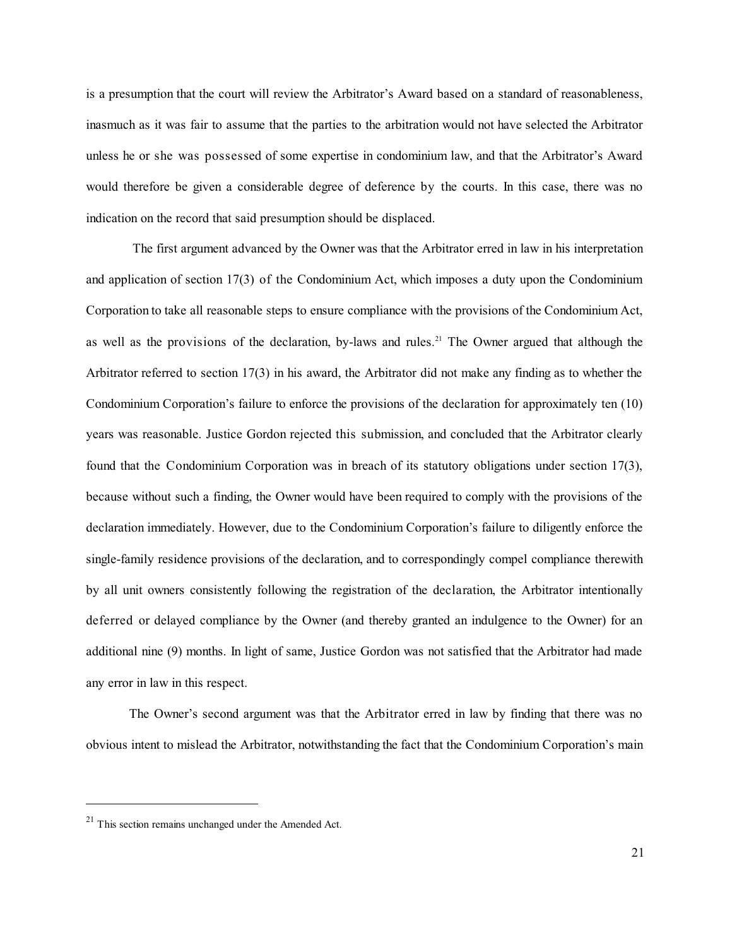is a presumption that the court will review the Arbitrator's Award based on a standard of reasonableness, inasmuch as it was fair to assume that the parties to the arbitration would not have selected the Arbitrator unless he or she was possessed of some expertise in condominium law, and that the Arbitrator's Award would therefore be given a considerable degree of deference by the courts. In this case, there was no indication on the record that said presumption should be displaced.

The first argument advanced by the Owner was that the Arbitrator erred in law in his interpretation and application of section 17(3) of the Condominium Act, which imposes a duty upon the Condominium Corporation to take all reasonable steps to ensure compliance with the provisions of the Condominium Act, as well as the provisions of the declaration, by-laws and rules. <sup>21</sup> The Owner argued that although the Arbitrator referred to section 17(3) in his award, the Arbitrator did not make any finding as to whether the Condominium Corporation's failure to enforce the provisions of the declaration for approximately ten (10) years was reasonable. Justice Gordon rejected this submission, and concluded that the Arbitrator clearly found that the Condominium Corporation was in breach of its statutory obligations under section 17(3), because without such a finding, the Owner would have been required to comply with the provisions of the declaration immediately. However, due to the Condominium Corporation's failure to diligently enforce the single-family residence provisions of the declaration, and to correspondingly compel compliance therewith by all unit owners consistently following the registration of the declaration, the Arbitrator intentionally deferred or delayed compliance by the Owner (and thereby granted an indulgence to the Owner) for an additional nine (9) months. In light of same, Justice Gordon was not satisfied that the Arbitrator had made any error in law in this respect.

The Owner's second argument was that the Arbitrator erred in law by finding that there was no obvious intent to mislead the Arbitrator, notwithstanding the fact that the Condominium Corporation's main

<sup>21</sup> This section remains unchanged under the Amended Act.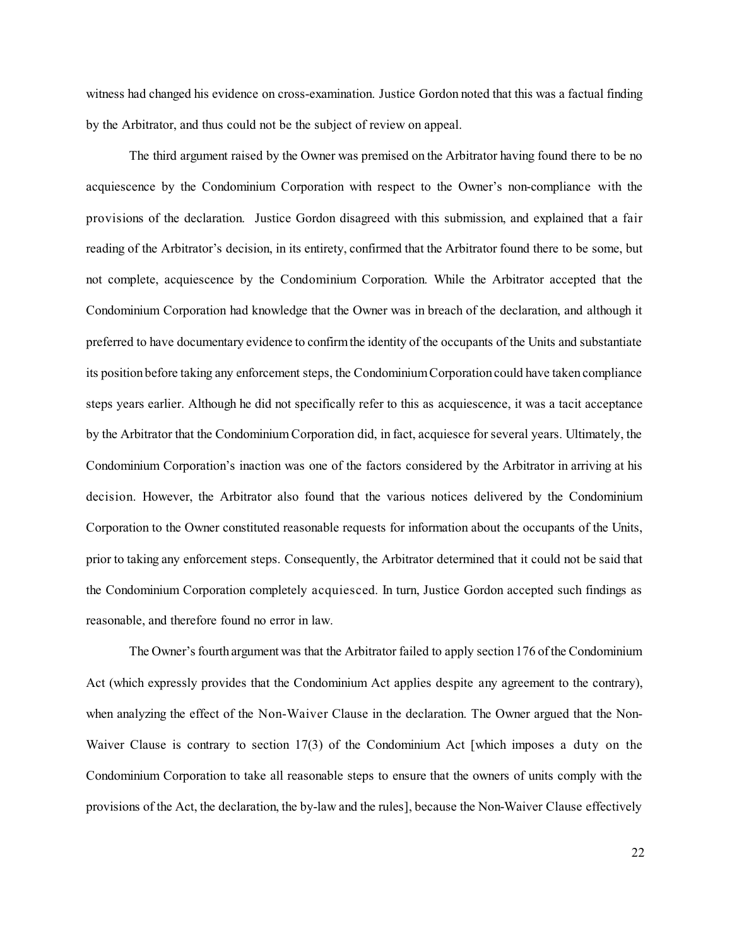witness had changed his evidence on cross-examination. Justice Gordon noted that this was a factual finding by the Arbitrator, and thus could not be the subject of review on appeal.

The third argument raised by the Owner was premised on the Arbitrator having found there to be no acquiescence by the Condominium Corporation with respect to the Owner's non-compliance with the provisions of the declaration. Justice Gordon disagreed with this submission, and explained that a fair reading of the Arbitrator's decision, in its entirety, confirmed that the Arbitrator found there to be some, but not complete, acquiescence by the Condominium Corporation. While the Arbitrator accepted that the Condominium Corporation had knowledge that the Owner was in breach of the declaration, and although it preferred to have documentary evidence to confirmthe identity of the occupants of the Units and substantiate its position before taking any enforcement steps, the CondominiumCorporation could have taken compliance steps years earlier. Although he did not specifically refer to this as acquiescence, it was a tacit acceptance by the Arbitrator that the Condominium Corporation did, in fact, acquiesce for several years. Ultimately, the Condominium Corporation's inaction was one of the factors considered by the Arbitrator in arriving at his decision. However, the Arbitrator also found that the various notices delivered by the Condominium Corporation to the Owner constituted reasonable requests for information about the occupants of the Units, prior to taking any enforcement steps. Consequently, the Arbitrator determined that it could not be said that the Condominium Corporation completely acquiesced. In turn, Justice Gordon accepted such findings as reasonable, and therefore found no error in law.

The Owner's fourth argument was that the Arbitrator failed to apply section 176 of the Condominium Act (which expressly provides that the Condominium Act applies despite any agreement to the contrary), when analyzing the effect of the Non-Waiver Clause in the declaration. The Owner argued that the Non-Waiver Clause is contrary to section 17(3) of the Condominium Act [which imposes a duty on the Condominium Corporation to take all reasonable steps to ensure that the owners of units comply with the provisions of the Act, the declaration, the by-law and the rules], because the Non-Waiver Clause effectively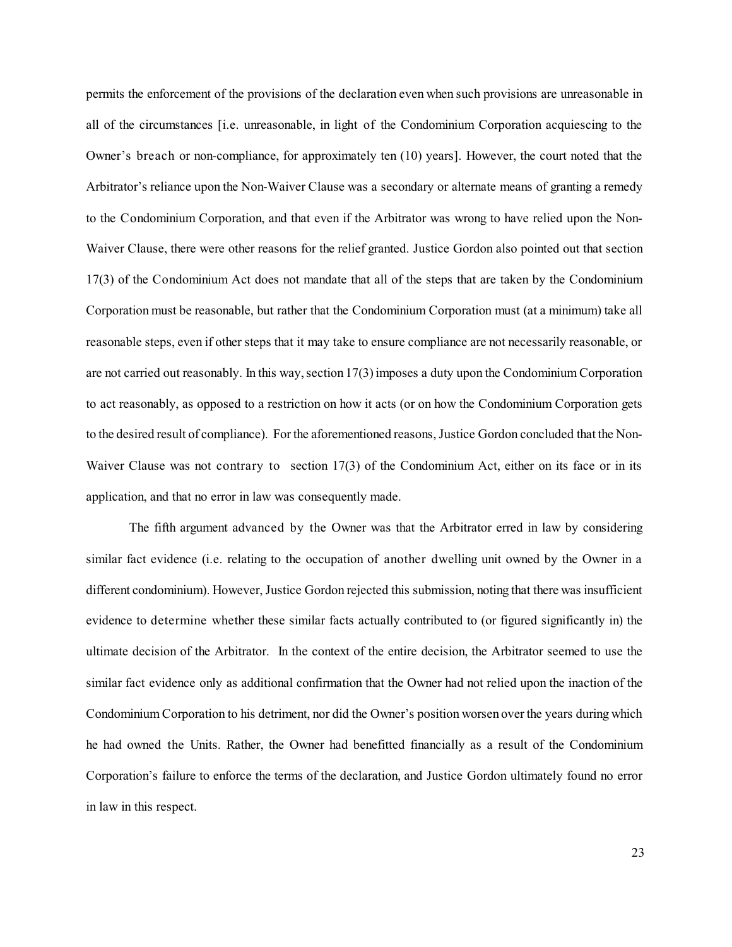permits the enforcement of the provisions of the declaration even when such provisions are unreasonable in all of the circumstances [i.e. unreasonable, in light of the Condominium Corporation acquiescing to the Owner's breach or non-compliance, for approximately ten (10) years]. However, the court noted that the Arbitrator's reliance upon the Non-Waiver Clause was a secondary or alternate means of granting a remedy to the Condominium Corporation, and that even if the Arbitrator was wrong to have relied upon the Non-Waiver Clause, there were other reasons for the relief granted. Justice Gordon also pointed out that section 17(3) of the Condominium Act does not mandate that all of the steps that are taken by the Condominium Corporation must be reasonable, but rather that the Condominium Corporation must (at a minimum) take all reasonable steps, even if other steps that it may take to ensure compliance are not necessarily reasonable, or are not carried out reasonably. In this way, section  $17(3)$  imposes a duty upon the Condominium Corporation to act reasonably, as opposed to a restriction on how it acts (or on how the Condominium Corporation gets to the desired result of compliance). For the aforementioned reasons, Justice Gordon concluded that the Non-Waiver Clause was not contrary to section 17(3) of the Condominium Act, either on its face or in its application, and that no error in law was consequently made.

The fifth argument advanced by the Owner was that the Arbitrator erred in law by considering similar fact evidence (i.e. relating to the occupation of another dwelling unit owned by the Owner in a different condominium). However, Justice Gordon rejected this submission, noting that there was insufficient evidence to determine whether these similar facts actually contributed to (or figured significantly in) the ultimate decision of the Arbitrator. In the context of the entire decision, the Arbitrator seemed to use the similar fact evidence only as additional confirmation that the Owner had not relied upon the inaction of the Condominium Corporation to his detriment, nor did the Owner's position worsen overthe years during which he had owned the Units. Rather, the Owner had benefitted financially as a result of the Condominium Corporation's failure to enforce the terms of the declaration, and Justice Gordon ultimately found no error in law in this respect.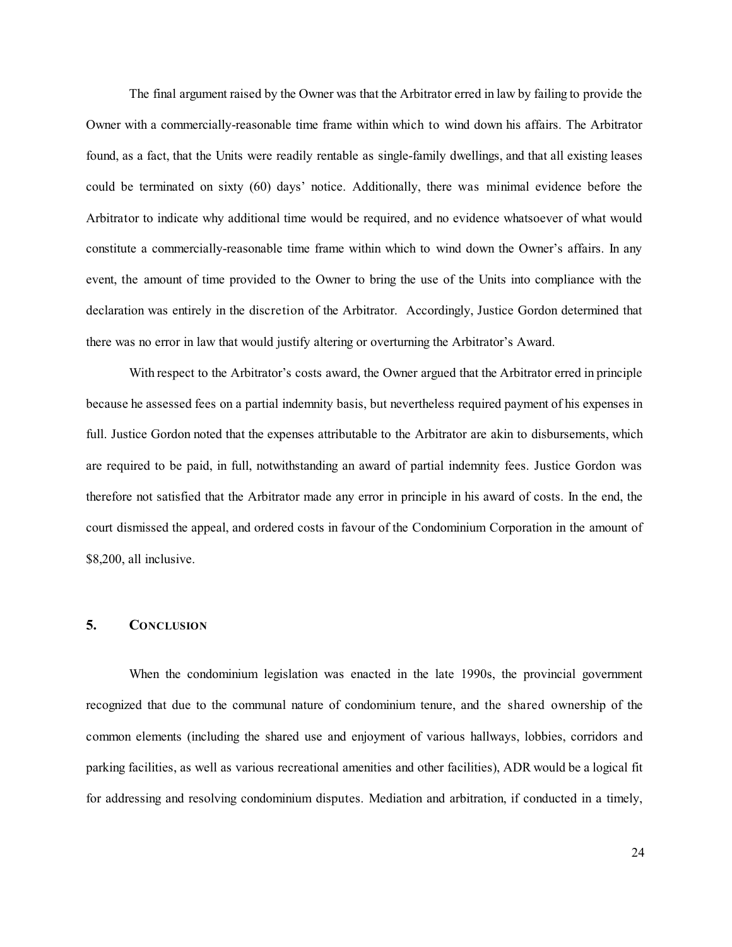The final argument raised by the Owner was that the Arbitrator erred in law by failing to provide the Owner with a commercially-reasonable time frame within which to wind down his affairs. The Arbitrator found, as a fact, that the Units were readily rentable as single-family dwellings, and that all existing leases could be terminated on sixty (60) days' notice. Additionally, there was minimal evidence before the Arbitrator to indicate why additional time would be required, and no evidence whatsoever of what would constitute a commercially-reasonable time frame within which to wind down the Owner's affairs. In any event, the amount of time provided to the Owner to bring the use of the Units into compliance with the declaration was entirely in the discretion of the Arbitrator. Accordingly, Justice Gordon determined that there was no error in law that would justify altering or overturning the Arbitrator's Award.

With respect to the Arbitrator's costs award, the Owner argued that the Arbitrator erred in principle because he assessed fees on a partial indemnity basis, but nevertheless required payment of his expenses in full. Justice Gordon noted that the expenses attributable to the Arbitrator are akin to disbursements, which are required to be paid, in full, notwithstanding an award of partial indemnity fees. Justice Gordon was therefore not satisfied that the Arbitrator made any error in principle in his award of costs. In the end, the court dismissed the appeal, and ordered costs in favour of the Condominium Corporation in the amount of \$8,200, all inclusive.

### **5. CONCLUSION**

When the condominium legislation was enacted in the late 1990s, the provincial government recognized that due to the communal nature of condominium tenure, and the shared ownership of the common elements (including the shared use and enjoyment of various hallways, lobbies, corridors and parking facilities, as well as various recreational amenities and other facilities), ADR would be a logical fit for addressing and resolving condominium disputes. Mediation and arbitration, if conducted in a timely,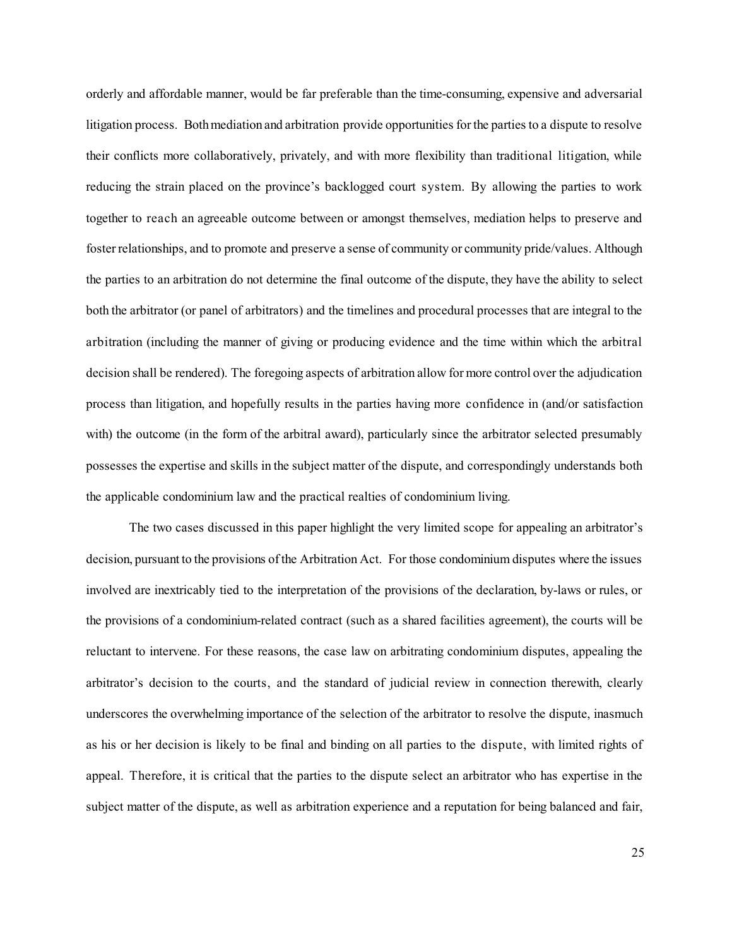orderly and affordable manner, would be far preferable than the time-consuming, expensive and adversarial litigation process. Both mediation and arbitration provide opportunities for the parties to a dispute to resolve their conflicts more collaboratively, privately, and with more flexibility than traditional litigation, while reducing the strain placed on the province's backlogged court system. By allowing the parties to work together to reach an agreeable outcome between or amongst themselves, mediation helps to preserve and fosterrelationships, and to promote and preserve a sense of community or community pride/values. Although the parties to an arbitration do not determine the final outcome of the dispute, they have the ability to select both the arbitrator (or panel of arbitrators) and the timelines and procedural processes that are integral to the arbitration (including the manner of giving or producing evidence and the time within which the arbitral decision shall be rendered). The foregoing aspects of arbitration allow for more control over the adjudication process than litigation, and hopefully results in the parties having more confidence in (and/or satisfaction with) the outcome (in the form of the arbitral award), particularly since the arbitrator selected presumably possesses the expertise and skills in the subject matter of the dispute, and correspondingly understands both the applicable condominium law and the practical realties of condominium living.

The two cases discussed in this paper highlight the very limited scope for appealing an arbitrator's decision, pursuant to the provisions ofthe Arbitration Act. For those condominium disputes where the issues involved are inextricably tied to the interpretation of the provisions of the declaration, by-laws or rules, or the provisions of a condominium-related contract (such as a shared facilities agreement), the courts will be reluctant to intervene. For these reasons, the case law on arbitrating condominium disputes, appealing the arbitrator's decision to the courts, and the standard of judicial review in connection therewith, clearly underscores the overwhelming importance of the selection of the arbitrator to resolve the dispute, inasmuch as his or her decision is likely to be final and binding on all parties to the dispute, with limited rights of appeal. Therefore, it is critical that the parties to the dispute select an arbitrator who has expertise in the subject matter of the dispute, as well as arbitration experience and a reputation for being balanced and fair,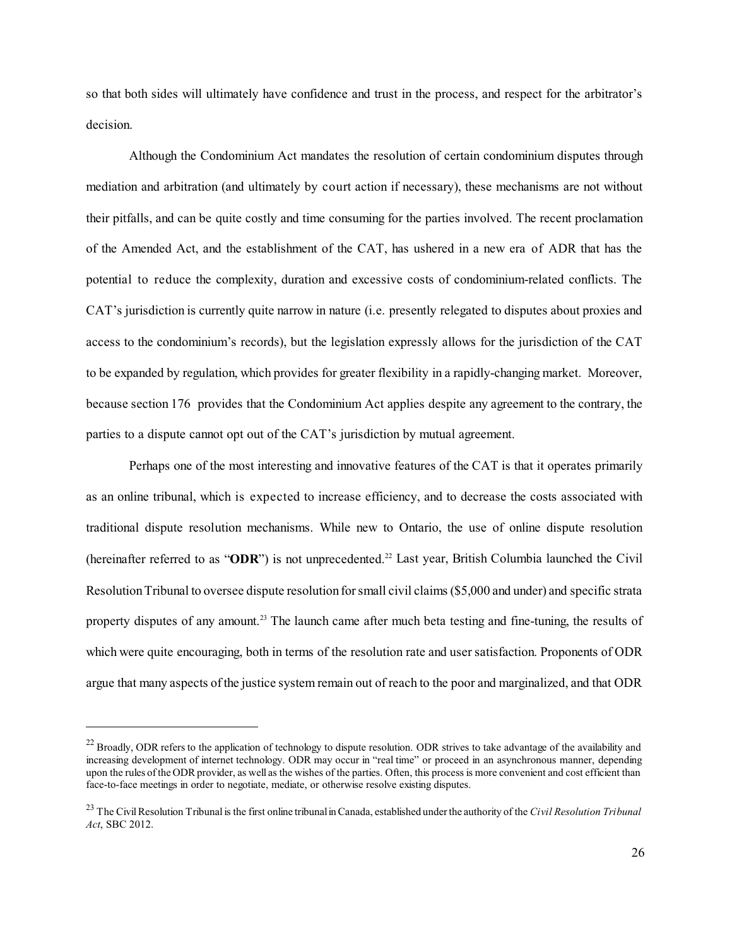so that both sides will ultimately have confidence and trust in the process, and respect for the arbitrator's decision.

Although the Condominium Act mandates the resolution of certain condominium disputes through mediation and arbitration (and ultimately by court action if necessary), these mechanisms are not without their pitfalls, and can be quite costly and time consuming for the parties involved. The recent proclamation of the Amended Act, and the establishment of the CAT, has ushered in a new era of ADR that has the potential to reduce the complexity, duration and excessive costs of condominium-related conflicts. The CAT's jurisdiction is currently quite narrow in nature (i.e. presently relegated to disputes about proxies and access to the condominium's records), but the legislation expressly allows for the jurisdiction of the CAT to be expanded by regulation, which provides for greater flexibility in a rapidly-changing market. Moreover, because section 176 provides that the Condominium Act applies despite any agreement to the contrary, the parties to a dispute cannot opt out of the CAT's jurisdiction by mutual agreement.

Perhaps one of the most interesting and innovative features of the CAT is that it operates primarily as an online tribunal, which is expected to increase efficiency, and to decrease the costs associated with traditional dispute resolution mechanisms. While new to Ontario, the use of online dispute resolution (hereinafter referred to as "**ODR**") is not unprecedented. <sup>22</sup> Last year, British Columbia launched the Civil ResolutionTribunal to oversee dispute resolution forsmall civil claims (\$5,000 and under) and specific strata property disputes of any amount.<sup>23</sup> The launch came after much beta testing and fine-tuning, the results of which were quite encouraging, both in terms of the resolution rate and user satisfaction. Proponents of ODR argue that many aspects ofthe justice system remain out of reach to the poor and marginalized, and that ODR

<sup>&</sup>lt;sup>22</sup> Broadly, ODR refers to the application of technology to dispute resolution. ODR strives to take advantage of the availability and increasing development of internet technology. ODR may occur in "real time" or proceed in an asynchronous manner, depending upon the rules of the ODR provider, as well as the wishes of the parties. Often, this process is more convenient and cost efficient than face-to-face meetings in order to negotiate, mediate, or otherwise resolve existing disputes.

<sup>&</sup>lt;sup>23</sup> The Civil Resolution Tribunal is the first online tribunal in Canada, established under the authority of the *Civil Resolution Tribunal Act*, SBC 2012.